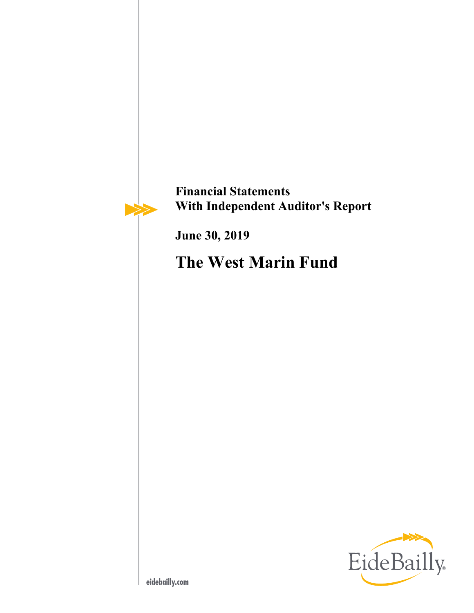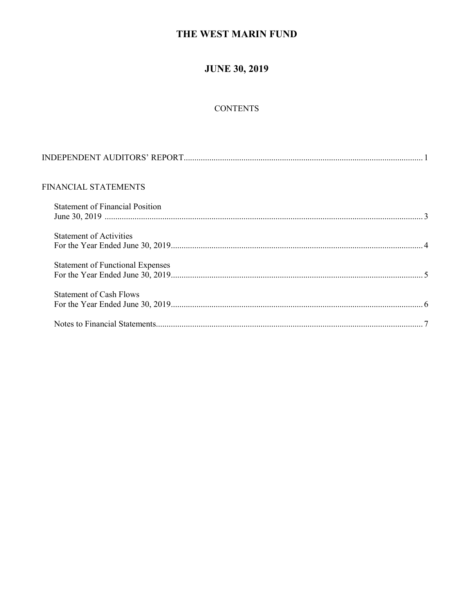## **JUNE 30, 2019**

## **CONTENTS**

| FINANCIAL STATEMENTS                    |  |
|-----------------------------------------|--|
| <b>Statement of Financial Position</b>  |  |
| <b>Statement of Activities</b>          |  |
| <b>Statement of Functional Expenses</b> |  |
| <b>Statement of Cash Flows</b>          |  |
|                                         |  |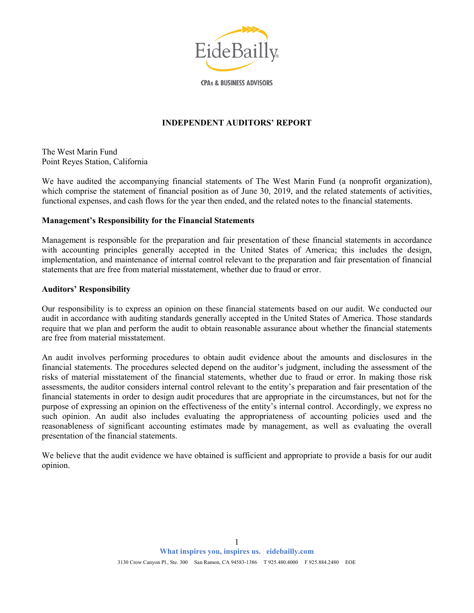

**CPAs & BUSINESS ADVISORS** 

#### **INDEPENDENT AUDITORS' REPORT**

The West Marin Fund Point Reyes Station, California

We have audited the accompanying financial statements of The West Marin Fund (a nonprofit organization), which comprise the statement of financial position as of June 30, 2019, and the related statements of activities, functional expenses, and cash flows for the year then ended, and the related notes to the financial statements.

#### **Management's Responsibility for the Financial Statements**

Management is responsible for the preparation and fair presentation of these financial statements in accordance with accounting principles generally accepted in the United States of America; this includes the design, implementation, and maintenance of internal control relevant to the preparation and fair presentation of financial statements that are free from material misstatement, whether due to fraud or error.

#### **Auditors' Responsibility**

Our responsibility is to express an opinion on these financial statements based on our audit. We conducted our audit in accordance with auditing standards generally accepted in the United States of America. Those standards require that we plan and perform the audit to obtain reasonable assurance about whether the financial statements are free from material misstatement.

An audit involves performing procedures to obtain audit evidence about the amounts and disclosures in the financial statements. The procedures selected depend on the auditor's judgment, including the assessment of the risks of material misstatement of the financial statements, whether due to fraud or error. In making those risk assessments, the auditor considers internal control relevant to the entity's preparation and fair presentation of the financial statements in order to design audit procedures that are appropriate in the circumstances, but not for the purpose of expressing an opinion on the effectiveness of the entity's internal control. Accordingly, we express no such opinion. An audit also includes evaluating the appropriateness of accounting policies used and the reasonableness of significant accounting estimates made by management, as well as evaluating the overall presentation of the financial statements.

We believe that the audit evidence we have obtained is sufficient and appropriate to provide a basis for our audit opinion.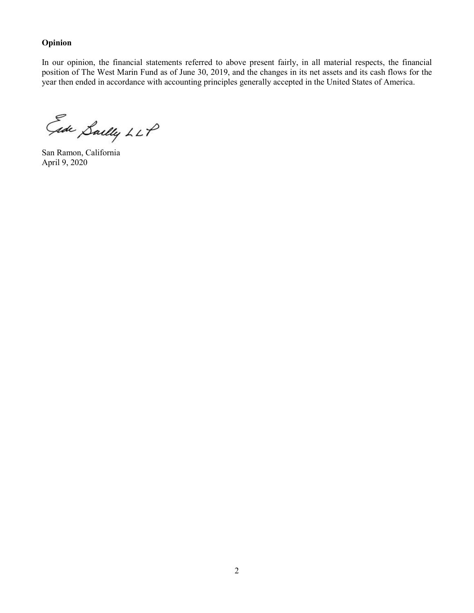#### **Opinion**

In our opinion, the financial statements referred to above present fairly, in all material respects, the financial position of The West Marin Fund as of June 30, 2019, and the changes in its net assets and its cash flows for the year then ended in accordance with accounting principles generally accepted in the United States of America.

Ede Sailly LLP

San Ramon, California April 9, 2020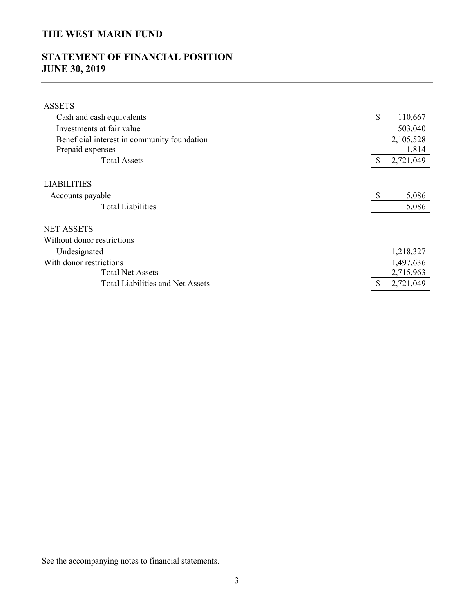# **STATEMENT OF FINANCIAL POSITION JUNE 30, 2019**

| <b>ASSETS</b>                               |    |           |
|---------------------------------------------|----|-----------|
| Cash and cash equivalents                   | \$ | 110,667   |
| Investments at fair value                   |    | 503,040   |
| Beneficial interest in community foundation |    | 2,105,528 |
| Prepaid expenses                            |    | 1,814     |
| <b>Total Assets</b>                         | S  | 2,721,049 |
|                                             |    |           |
| <b>LIABILITIES</b>                          |    |           |
| Accounts payable                            | S  | 5,086     |
| <b>Total Liabilities</b>                    |    | 5,086     |
|                                             |    |           |
| <b>NET ASSETS</b>                           |    |           |
| Without donor restrictions                  |    |           |
| Undesignated                                |    | 1,218,327 |
| With donor restrictions                     |    | 1,497,636 |
| <b>Total Net Assets</b>                     |    | 2,715,963 |
| <b>Total Liabilities and Net Assets</b>     |    | 2,721,049 |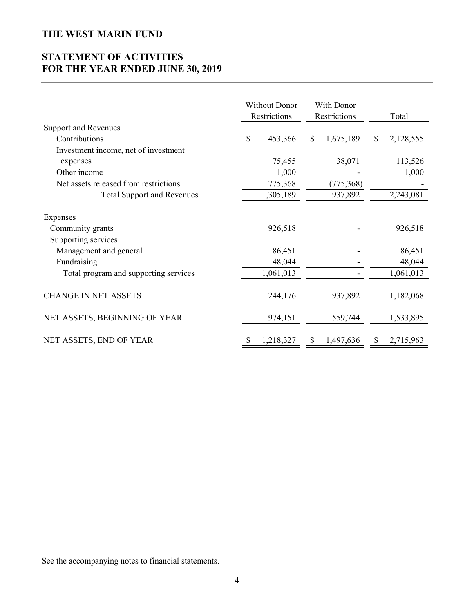# **STATEMENT OF ACTIVITIES FOR THE YEAR ENDED JUNE 30, 2019**

|                                       | <b>Without Donor</b><br>With Donor<br>Restrictions<br>Restrictions |           | Total           |                 |
|---------------------------------------|--------------------------------------------------------------------|-----------|-----------------|-----------------|
| <b>Support and Revenues</b>           |                                                                    |           |                 |                 |
| Contributions                         | \$                                                                 | 453,366   | \$<br>1,675,189 | \$<br>2,128,555 |
| Investment income, net of investment  |                                                                    |           |                 |                 |
| expenses                              |                                                                    | 75,455    | 38,071          | 113,526         |
| Other income                          |                                                                    | 1,000     |                 | 1,000           |
| Net assets released from restrictions |                                                                    | 775,368   | (775,368)       |                 |
| <b>Total Support and Revenues</b>     |                                                                    | 1,305,189 | 937,892         | 2,243,081       |
| Expenses                              |                                                                    |           |                 |                 |
| Community grants                      |                                                                    | 926,518   |                 | 926,518         |
| Supporting services                   |                                                                    |           |                 |                 |
| Management and general                |                                                                    | 86,451    |                 | 86,451          |
| Fundraising                           |                                                                    | 48,044    |                 | 48,044          |
| Total program and supporting services |                                                                    | 1,061,013 |                 | 1,061,013       |
| <b>CHANGE IN NET ASSETS</b>           |                                                                    | 244,176   | 937,892         | 1,182,068       |
| NET ASSETS, BEGINNING OF YEAR         |                                                                    | 974,151   | 559,744         | 1,533,895       |
| NET ASSETS, END OF YEAR               | S                                                                  | 1,218,327 | \$<br>1,497,636 | \$<br>2,715,963 |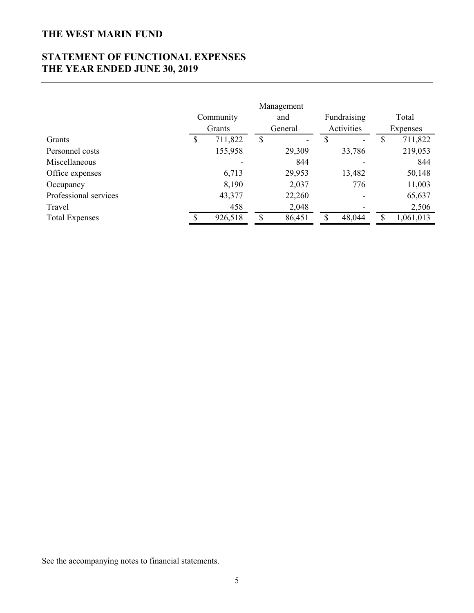# **STATEMENT OF FUNCTIONAL EXPENSES THE YEAR ENDED JUNE 30, 2019**

|                       | Community<br>Grants |         | Management<br>and<br>General |                              |    |        |     | Fundraising<br>Activities | Total<br>Expenses |  |
|-----------------------|---------------------|---------|------------------------------|------------------------------|----|--------|-----|---------------------------|-------------------|--|
| Grants                | S                   | 711,822 | \$                           | $\qquad \qquad \blacksquare$ | S  |        |     | 711,822                   |                   |  |
| Personnel costs       |                     | 155,958 |                              | 29,309                       |    | 33,786 |     | 219,053                   |                   |  |
| Miscellaneous         |                     |         |                              | 844                          |    |        |     | 844                       |                   |  |
| Office expenses       |                     | 6,713   |                              | 29,953                       |    | 13,482 |     | 50,148                    |                   |  |
| Occupancy             |                     | 8,190   |                              | 2,037                        |    | 776    |     | 11,003                    |                   |  |
| Professional services |                     | 43,377  |                              | 22,260                       |    |        |     | 65,637                    |                   |  |
| Travel                |                     | 458     |                              | 2,048                        |    |        |     | 2,506                     |                   |  |
| <b>Total Expenses</b> | ¢                   | 926,518 | S                            | 86,451                       | \$ | 48,044 | \$. | 1,061,013                 |                   |  |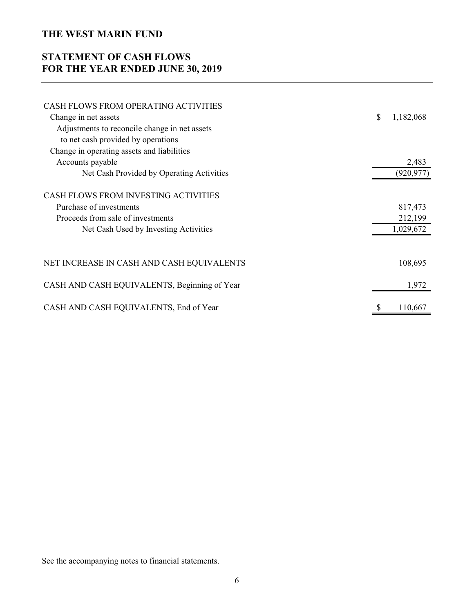# **STATEMENT OF CASH FLOWS FOR THE YEAR ENDED JUNE 30, 2019**

| CASH FLOWS FROM OPERATING ACTIVITIES          |                 |
|-----------------------------------------------|-----------------|
| Change in net assets                          | \$<br>1,182,068 |
| Adjustments to reconcile change in net assets |                 |
| to net cash provided by operations            |                 |
| Change in operating assets and liabilities    |                 |
| Accounts payable                              | 2,483           |
| Net Cash Provided by Operating Activities     | (920, 977)      |
| CASH FLOWS FROM INVESTING ACTIVITIES          |                 |
| Purchase of investments                       | 817,473         |
| Proceeds from sale of investments             | 212,199         |
| Net Cash Used by Investing Activities         | 1,029,672       |
|                                               |                 |
| NET INCREASE IN CASH AND CASH EQUIVALENTS     | 108,695         |
| CASH AND CASH EQUIVALENTS, Beginning of Year  | 1,972           |
| CASH AND CASH EQUIVALENTS, End of Year        | \$<br>110,667   |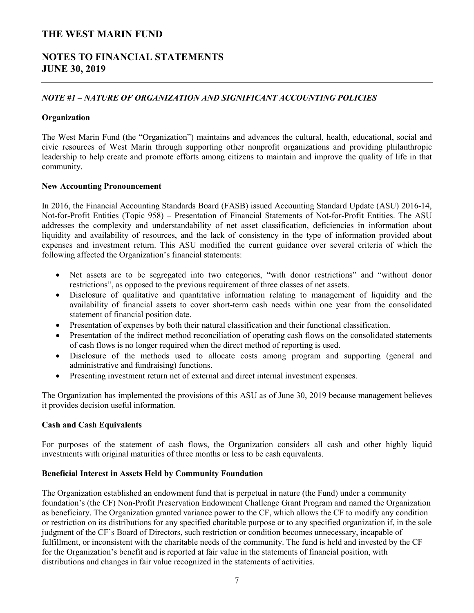## **NOTES TO FINANCIAL STATEMENTS JUNE 30, 2019**

### *NOTE #1 – NATURE OF ORGANIZATION AND SIGNIFICANT ACCOUNTING POLICIES*

#### **Organization**

The West Marin Fund (the "Organization") maintains and advances the cultural, health, educational, social and civic resources of West Marin through supporting other nonprofit organizations and providing philanthropic leadership to help create and promote efforts among citizens to maintain and improve the quality of life in that community.

#### **New Accounting Pronouncement**

In 2016, the Financial Accounting Standards Board (FASB) issued Accounting Standard Update (ASU) 2016-14, Not-for-Profit Entities (Topic 958) – Presentation of Financial Statements of Not-for-Profit Entities. The ASU addresses the complexity and understandability of net asset classification, deficiencies in information about liquidity and availability of resources, and the lack of consistency in the type of information provided about expenses and investment return. This ASU modified the current guidance over several criteria of which the following affected the Organization's financial statements:

- Net assets are to be segregated into two categories, "with donor restrictions" and "without donor restrictions", as opposed to the previous requirement of three classes of net assets.
- Disclosure of qualitative and quantitative information relating to management of liquidity and the availability of financial assets to cover short-term cash needs within one year from the consolidated statement of financial position date.
- Presentation of expenses by both their natural classification and their functional classification.
- Presentation of the indirect method reconciliation of operating cash flows on the consolidated statements of cash flows is no longer required when the direct method of reporting is used.
- Disclosure of the methods used to allocate costs among program and supporting (general and administrative and fundraising) functions.
- Presenting investment return net of external and direct internal investment expenses.

The Organization has implemented the provisions of this ASU as of June 30, 2019 because management believes it provides decision useful information.

#### **Cash and Cash Equivalents**

For purposes of the statement of cash flows, the Organization considers all cash and other highly liquid investments with original maturities of three months or less to be cash equivalents.

#### **Beneficial Interest in Assets Held by Community Foundation**

The Organization established an endowment fund that is perpetual in nature (the Fund) under a community foundation's (the CF) Non-Profit Preservation Endowment Challenge Grant Program and named the Organization as beneficiary. The Organization granted variance power to the CF, which allows the CF to modify any condition or restriction on its distributions for any specified charitable purpose or to any specified organization if, in the sole judgment of the CF's Board of Directors, such restriction or condition becomes unnecessary, incapable of fulfillment, or inconsistent with the charitable needs of the community. The fund is held and invested by the CF for the Organization's benefit and is reported at fair value in the statements of financial position, with distributions and changes in fair value recognized in the statements of activities.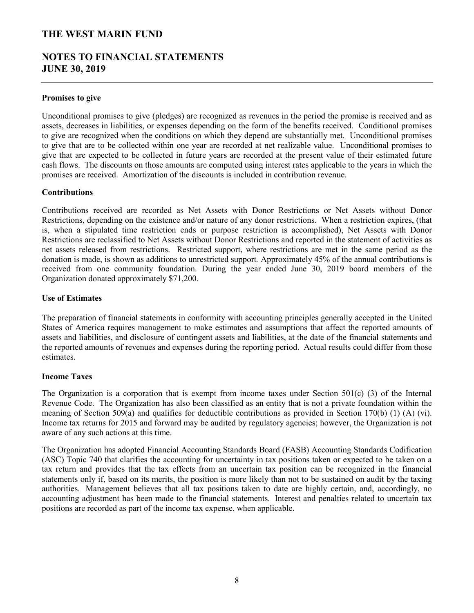## **NOTES TO FINANCIAL STATEMENTS JUNE 30, 2019**

#### **Promises to give**

Unconditional promises to give (pledges) are recognized as revenues in the period the promise is received and as assets, decreases in liabilities, or expenses depending on the form of the benefits received. Conditional promises to give are recognized when the conditions on which they depend are substantially met. Unconditional promises to give that are to be collected within one year are recorded at net realizable value. Unconditional promises to give that are expected to be collected in future years are recorded at the present value of their estimated future cash flows. The discounts on those amounts are computed using interest rates applicable to the years in which the promises are received. Amortization of the discounts is included in contribution revenue.

#### **Contributions**

Contributions received are recorded as Net Assets with Donor Restrictions or Net Assets without Donor Restrictions, depending on the existence and/or nature of any donor restrictions. When a restriction expires, (that is, when a stipulated time restriction ends or purpose restriction is accomplished), Net Assets with Donor Restrictions are reclassified to Net Assets without Donor Restrictions and reported in the statement of activities as net assets released from restrictions. Restricted support, where restrictions are met in the same period as the donation is made, is shown as additions to unrestricted support*.* Approximately 45% of the annual contributions is received from one community foundation. During the year ended June 30, 2019 board members of the Organization donated approximately \$71,200.

#### **Use of Estimates**

The preparation of financial statements in conformity with accounting principles generally accepted in the United States of America requires management to make estimates and assumptions that affect the reported amounts of assets and liabilities, and disclosure of contingent assets and liabilities, at the date of the financial statements and the reported amounts of revenues and expenses during the reporting period. Actual results could differ from those estimates.

#### **Income Taxes**

The Organization is a corporation that is exempt from income taxes under Section  $501(c)$  (3) of the Internal Revenue Code. The Organization has also been classified as an entity that is not a private foundation within the meaning of Section 509(a) and qualifies for deductible contributions as provided in Section 170(b) (1) (A) (vi). Income tax returns for 2015 and forward may be audited by regulatory agencies; however, the Organization is not aware of any such actions at this time.

The Organization has adopted Financial Accounting Standards Board (FASB) Accounting Standards Codification (ASC) Topic 740 that clarifies the accounting for uncertainty in tax positions taken or expected to be taken on a tax return and provides that the tax effects from an uncertain tax position can be recognized in the financial statements only if, based on its merits, the position is more likely than not to be sustained on audit by the taxing authorities. Management believes that all tax positions taken to date are highly certain, and, accordingly, no accounting adjustment has been made to the financial statements. Interest and penalties related to uncertain tax positions are recorded as part of the income tax expense, when applicable.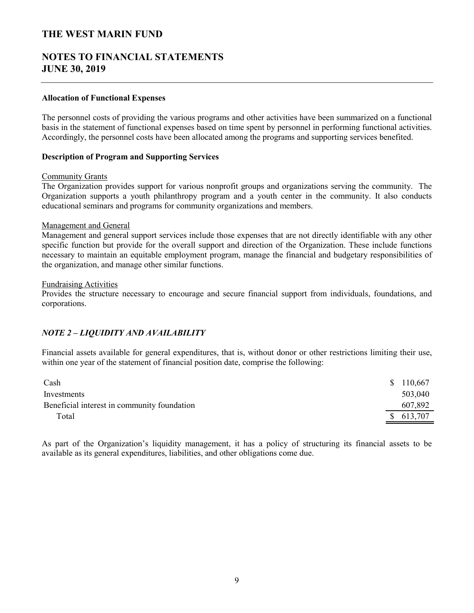## **NOTES TO FINANCIAL STATEMENTS JUNE 30, 2019**

#### **Allocation of Functional Expenses**

The personnel costs of providing the various programs and other activities have been summarized on a functional basis in the statement of functional expenses based on time spent by personnel in performing functional activities. Accordingly, the personnel costs have been allocated among the programs and supporting services benefited.

#### **Description of Program and Supporting Services**

#### Community Grants

The Organization provides support for various nonprofit groups and organizations serving the community. The Organization supports a youth philanthropy program and a youth center in the community. It also conducts educational seminars and programs for community organizations and members.

#### Management and General

Management and general support services include those expenses that are not directly identifiable with any other specific function but provide for the overall support and direction of the Organization. These include functions necessary to maintain an equitable employment program, manage the financial and budgetary responsibilities of the organization, and manage other similar functions.

#### Fundraising Activities

Provides the structure necessary to encourage and secure financial support from individuals, foundations, and corporations.

#### *NOTE 2 – LIQUIDITY AND AVAILABILITY*

Financial assets available for general expenditures, that is, without donor or other restrictions limiting their use, within one year of the statement of financial position date, comprise the following:

| Cash                                        | \$110,667 |
|---------------------------------------------|-----------|
| Investments                                 | 503,040   |
| Beneficial interest in community foundation | 607,892   |
| Total                                       | \$613,707 |

As part of the Organization's liquidity management, it has a policy of structuring its financial assets to be available as its general expenditures, liabilities, and other obligations come due.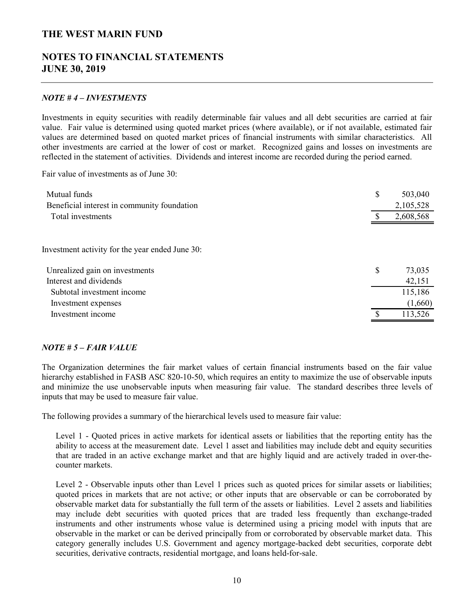## **NOTES TO FINANCIAL STATEMENTS JUNE 30, 2019**

#### *NOTE # 4 – INVESTMENTS*

Investments in equity securities with readily determinable fair values and all debt securities are carried at fair value. Fair value is determined using quoted market prices (where available), or if not available, estimated fair values are determined based on quoted market prices of financial instruments with similar characteristics. All other investments are carried at the lower of cost or market. Recognized gains and losses on investments are reflected in the statement of activities. Dividends and interest income are recorded during the period earned.

Fair value of investments as of June 30:

| Mutual funds                                    | \$<br>503,040 |
|-------------------------------------------------|---------------|
| Beneficial interest in community foundation     | 2,105,528     |
| Total investments                               | 2,608,568     |
|                                                 |               |
| Investment activity for the year ended June 30: |               |
| Unrealized gain on investments                  | \$<br>73,035  |
| Interest and dividends                          | 42,151        |
| Subtotal investment income                      | 115,186       |
| Investment expenses                             | (1,660)       |
| Investment income                               | 113,526       |

#### *NOTE # 5 – FAIR VALUE*

The Organization determines the fair market values of certain financial instruments based on the fair value hierarchy established in FASB ASC 820-10-50, which requires an entity to maximize the use of observable inputs and minimize the use unobservable inputs when measuring fair value. The standard describes three levels of inputs that may be used to measure fair value.

The following provides a summary of the hierarchical levels used to measure fair value:

Level 1 - Quoted prices in active markets for identical assets or liabilities that the reporting entity has the ability to access at the measurement date. Level 1 asset and liabilities may include debt and equity securities that are traded in an active exchange market and that are highly liquid and are actively traded in over-thecounter markets.

Level 2 - Observable inputs other than Level 1 prices such as quoted prices for similar assets or liabilities; quoted prices in markets that are not active; or other inputs that are observable or can be corroborated by observable market data for substantially the full term of the assets or liabilities. Level 2 assets and liabilities may include debt securities with quoted prices that are traded less frequently than exchange-traded instruments and other instruments whose value is determined using a pricing model with inputs that are observable in the market or can be derived principally from or corroborated by observable market data. This category generally includes U.S. Government and agency mortgage-backed debt securities, corporate debt securities, derivative contracts, residential mortgage, and loans held-for-sale.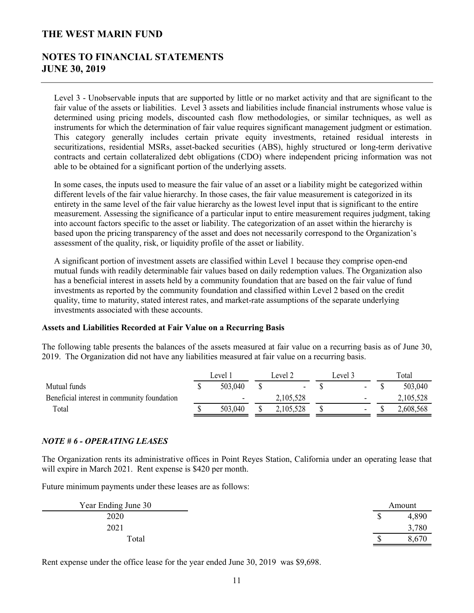## **NOTES TO FINANCIAL STATEMENTS JUNE 30, 2019**

Level 3 - Unobservable inputs that are supported by little or no market activity and that are significant to the fair value of the assets or liabilities. Level 3 assets and liabilities include financial instruments whose value is determined using pricing models, discounted cash flow methodologies, or similar techniques, as well as instruments for which the determination of fair value requires significant management judgment or estimation. This category generally includes certain private equity investments, retained residual interests in securitizations, residential MSRs, asset-backed securities (ABS), highly structured or long-term derivative contracts and certain collateralized debt obligations (CDO) where independent pricing information was not able to be obtained for a significant portion of the underlying assets.

In some cases, the inputs used to measure the fair value of an asset or a liability might be categorized within different levels of the fair value hierarchy. In those cases, the fair value measurement is categorized in its entirety in the same level of the fair value hierarchy as the lowest level input that is significant to the entire measurement. Assessing the significance of a particular input to entire measurement requires judgment, taking into account factors specific to the asset or liability. The categorization of an asset within the hierarchy is based upon the pricing transparency of the asset and does not necessarily correspond to the Organization's assessment of the quality, risk, or liquidity profile of the asset or liability.

A significant portion of investment assets are classified within Level 1 because they comprise open-end mutual funds with readily determinable fair values based on daily redemption values. The Organization also has a beneficial interest in assets held by a community foundation that are based on the fair value of fund investments as reported by the community foundation and classified within Level 2 based on the credit quality, time to maturity, stated interest rates, and market-rate assumptions of the separate underlying investments associated with these accounts.

#### **Assets and Liabilities Recorded at Fair Value on a Recurring Basis**

The following table presents the balances of the assets measured at fair value on a recurring basis as of June 30, 2019. The Organization did not have any liabilities measured at fair value on a recurring basis.

|                                             | Level 1 |                          | Level 2 |                | Level 3 |    | Total |           |
|---------------------------------------------|---------|--------------------------|---------|----------------|---------|----|-------|-----------|
| Mutual funds                                |         | 503.040                  |         | $\blacksquare$ |         | ۰. |       | 503,040   |
| Beneficial interest in community foundation |         | $\overline{\phantom{0}}$ |         | 2,105,528      |         | -  |       | 2,105,528 |
| Total                                       |         | 503.040                  |         | 2,105,528      |         | -  |       | 2,608,568 |

#### *NOTE # 6 - OPERATING LEASES*

The Organization rents its administrative offices in Point Reyes Station, California under an operating lease that will expire in March 2021. Rent expense is \$420 per month.

Future minimum payments under these leases are as follows:

| Year Ending June 30 |   | Amount |
|---------------------|---|--------|
| 2020                | Φ | 4,890  |
| 2021                |   | ,780   |
| Total               |   | .670   |

Rent expense under the office lease for the year ended June 30, 2019 was \$9,698.